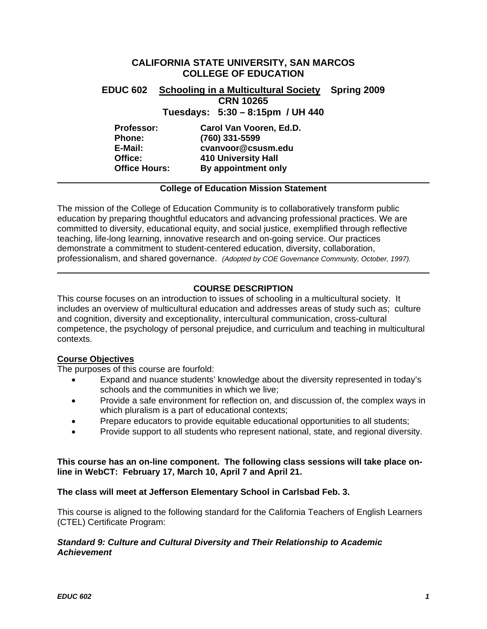# **Office:** 410 University Hall **CALIFORNIA STATE UNIVERSITY, SAN MARCOS COLLEGE OF EDUCATION EDUC 602 Schooling in a Multicultural Society Spring 2009 CRN 10265 Tuesdays: 5:30 – 8:15pm / UH 440 Professor: Carol Van Vooren, Ed.D. Phone: (760) 331-5599 E-Mail: cvanvoor@csusm.edu Office Hours: By appointment only**

#### **College of Education Mission Statement**

The mission of the College of Education Community is to collaboratively transform public education by preparing thoughtful educators and advancing professional practices. We are committed to diversity, educational equity, and social justice, exemplified through reflective teaching, life-long learning, innovative research and on-going service. Our practices demonstrate a commitment to student-centered education, diversity, collaboration, professionalism, and shared governance. *(Adopted by COE Governance Community, October, 1997).* 

## **COURSE DESCRIPTION**

This course focuses on an introduction to issues of schooling in a multicultural society. It includes an overview of multicultural education and addresses areas of study such as; culture and cognition, diversity and exceptionality, intercultural communication, cross-cultural competence, the psychology of personal prejudice, and curriculum and teaching in multicultural contexts.

#### **Course Objectives**

The purposes of this course are fourfold:

- Expand and nuance students' knowledge about the diversity represented in today's schools and the communities in which we live;
- Provide a safe environment for reflection on, and discussion of, the complex ways in which pluralism is a part of educational contexts;
- Prepare educators to provide equitable educational opportunities to all students;
- Provide support to all students who represent national, state, and regional diversity.

#### **This course has an on-line component. The following class sessions will take place online in WebCT: February 17, March 10, April 7 and April 21.**

#### **The class will meet at Jefferson Elementary School in Carlsbad Feb. 3.**

This course is aligned to the following standard for the California Teachers of English Learners (CTEL) Certificate Program:

#### *Standard 9: Culture and Cultural Diversity and Their Relationship to Academic Achievement*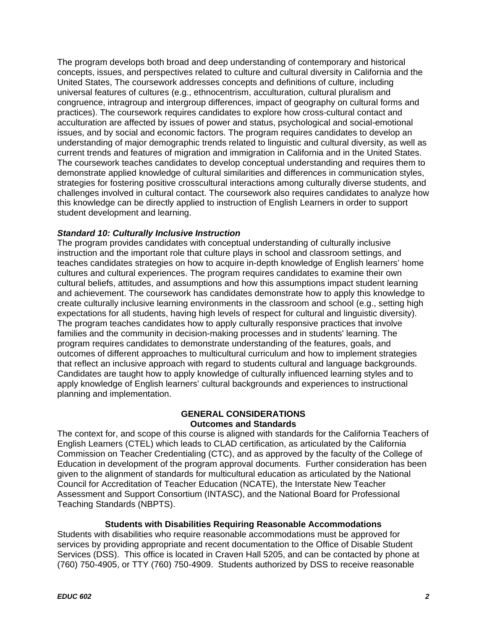The program develops both broad and deep understanding of contemporary and historical concepts, issues, and perspectives related to culture and cultural diversity in California and the United States, The coursework addresses concepts and definitions of culture, including universal features of cultures (e.g., ethnocentrism, acculturation, cultural pluralism and congruence, intragroup and intergroup differences, impact of geography on cultural forms and practices). The coursework requires candidates to explore how cross-cultural contact and acculturation are affected by issues of power and status, psychological and social-emotional issues, and by social and economic factors. The program requires candidates to develop an understanding of major demographic trends related to linguistic and cultural diversity, as well as current trends and features of migration and immigration in California and in the United States. The coursework teaches candidates to develop conceptual understanding and requires them to demonstrate applied knowledge of cultural similarities and differences in communication styles, strategies for fostering positive crosscultural interactions among culturally diverse students, and challenges involved in cultural contact. The coursework also requires candidates to analyze how this knowledge can be directly applied to instruction of English Learners in order to support student development and learning.

## *Standard 10: Culturally Inclusive Instruction*

The program provides candidates with conceptual understanding of culturally inclusive instruction and the important role that culture plays in school and classroom settings, and teaches candidates strategies on how to acquire in-depth knowledge of English learners' home cultures and cultural experiences. The program requires candidates to examine their own cultural beliefs, attitudes, and assumptions and how this assumptions impact student learning and achievement. The coursework has candidates demonstrate how to apply this knowledge to create culturally inclusive learning environments in the classroom and school (e.g., setting high expectations for all students, having high levels of respect for cultural and linguistic diversity). The program teaches candidates how to apply culturally responsive practices that involve families and the community in decision-making processes and in students' learning. The program requires candidates to demonstrate understanding of the features, goals, and outcomes of different approaches to multicultural curriculum and how to implement strategies that reflect an inclusive approach with regard to students cultural and language backgrounds. Candidates are taught how to apply knowledge of culturally influenced learning styles and to apply knowledge of English learners' cultural backgrounds and experiences to instructional planning and implementation.

## **GENERAL CONSIDERATIONS Outcomes and Standards**

The context for, and scope of this course is aligned with standards for the California Teachers of English Learners (CTEL) which leads to CLAD certification, as articulated by the California Commission on Teacher Credentialing (CTC), and as approved by the faculty of the College of Education in development of the program approval documents. Further consideration has been given to the alignment of standards for multicultural education as articulated by the National Council for Accreditation of Teacher Education (NCATE), the Interstate New Teacher Assessment and Support Consortium (INTASC), and the National Board for Professional Teaching Standards (NBPTS).

#### **Students with Disabilities Requiring Reasonable Accommodations**

Students with disabilities who require reasonable accommodations must be approved for services by providing appropriate and recent documentation to the Office of Disable Student Services (DSS). This office is located in Craven Hall 5205, and can be contacted by phone at (760) 750-4905, or TTY (760) 750-4909. Students authorized by DSS to receive reasonable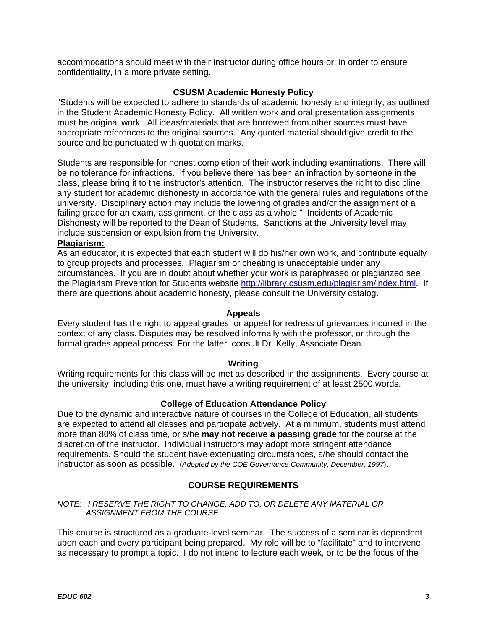accommodations should meet with their instructor during office hours or, in order to ensure confidentiality, in a more private setting.

#### **CSUSM Academic Honesty Policy**

"Students will be expected to adhere to standards of academic honesty and integrity, as outlined in the Student Academic Honesty Policy. All written work and oral presentation assignments must be original work. All ideas/materials that are borrowed from other sources must have appropriate references to the original sources. Any quoted material should give credit to the source and be punctuated with quotation marks.

Students are responsible for honest completion of their work including examinations. There will be no tolerance for infractions. If you believe there has been an infraction by someone in the class, please bring it to the instructor's attention. The instructor reserves the right to discipline any student for academic dishonesty in accordance with the general rules and regulations of the university. Disciplinary action may include the lowering of grades and/or the assignment of a failing grade for an exam, assignment, or the class as a whole." Incidents of Academic Dishonesty will be reported to the Dean of Students. Sanctions at the University level may include suspension or expulsion from the University.

#### **Plagiarism:**

As an educator, it is expected that each student will do his/her own work, and contribute equally to group projects and processes. Plagiarism or cheating is unacceptable under any circumstances. If you are in doubt about whether your work is paraphrased or plagiarized see the Plagiarism Prevention for Students website http://library.csusm.edu/plagiarism/index.html. If there are questions about academic honesty, please consult the University catalog.

#### **Appeals**

Every student has the right to appeal grades, or appeal for redress of grievances incurred in the context of any class. Disputes may be resolved informally with the professor, or through the formal grades appeal process. For the latter, consult Dr. Kelly, Associate Dean.

#### **Writing**

Writing requirements for this class will be met as described in the assignments. Every course at the university, including this one, must have a writing requirement of at least 2500 words.

#### **College of Education Attendance Policy**

Due to the dynamic and interactive nature of courses in the College of Education, all students are expected to attend all classes and participate actively. At a minimum, students must attend more than 80% of class time, or s/he **may not receive a passing grade** for the course at the discretion of the instructor. Individual instructors may adopt more stringent attendance requirements. Should the student have extenuating circumstances, s/he should contact the instructor as soon as possible. (*Adopted by the COE Governance Community, December, 1997*).

## **COURSE REQUIREMENTS**

#### *NOTE: I RESERVE THE RIGHT TO CHANGE, ADD TO, OR DELETE ANY MATERIAL OR ASSIGNMENT FROM THE COURSE.*

This course is structured as a graduate-level seminar. The success of a seminar is dependent upon each and every participant being prepared. My role will be to "facilitate" and to intervene as necessary to prompt a topic. I do not intend to lecture each week, or to be the focus of the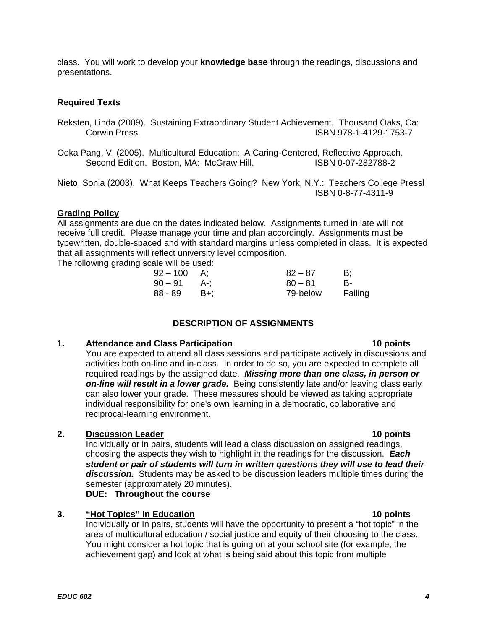class. You will work to develop your **knowledge base** through the readings, discussions and presentations.

## **Required Texts**

- Reksten, Linda (2009). Sustaining Extraordinary Student Achievement. Thousand Oaks, Ca: Corwin Press. ISBN 978-1-4129-1753-7
- Ooka Pang, V. (2005). Multicultural Education: A Caring-Centered, Reflective Approach. Second Edition. Boston, MA: McGraw Hill.

Nieto, Sonia (2003). What Keeps Teachers Going? New York, N.Y.: Teachers College Pressl ISBN 0-8-77-4311-9

#### **Grading Policy**

All assignments are due on the dates indicated below. Assignments turned in late will not receive full credit. Please manage your time and plan accordingly. Assignments must be typewritten, double-spaced and with standard margins unless completed in class. It is expected that all assignments will reflect university level composition.

The following grading scale will be used:

| $92 - 100$ | A:    | $82 - 87$ | B:      |
|------------|-------|-----------|---------|
| 90 – 91    | - A-: | $80 - 81$ | В-      |
| 88 - 89    | – B+: | 79-below  | Failing |

# **DESCRIPTION OF ASSIGNMENTS**

## **1.** Attendance and Class Participation

You are expected to attend all class sessions and participate actively in discussions and activities both on-line and in-class. In order to do so, you are expected to complete all required readings by the assigned date. *Missing more than one class, in person or on-line will result in a lower grade.* Being consistently late and/or leaving class early can also lower your grade. These measures should be viewed as taking appropriate individual responsibility for one's own learning in a democratic, collaborative and reciprocal-learning environment.

## **2.** Discussion Leader **10 points 10 points**

Individually or in pairs, students will lead a class discussion on assigned readings, choosing the aspects they wish to highlight in the readings for the discussion. *Each student or pair of students will turn in written questions they will use to lead their discussion.* Students may be asked to be discussion leaders multiple times during the semester (approximately 20 minutes).

**DUE: Throughout the course** 

## **3.** <u>"Hot Topics" in Education</u> **10 points 10 points**

Individually or In pairs, students will have the opportunity to present a "hot topic" in the area of multicultural education / social justice and equity of their choosing to the class. You might consider a hot topic that is going on at your school site (for example, the achievement gap) and look at what is being said about this topic from multiple

#### 10 points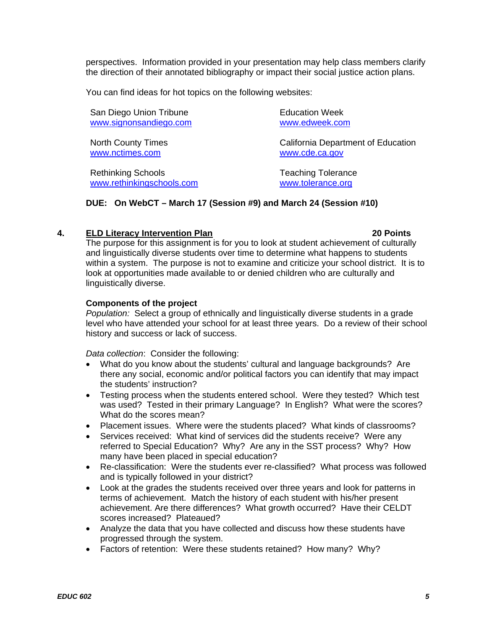perspectives. Information provided in your presentation may help class members clarify the direction of their annotated bibliography or impact their social justice action plans.

You can find ideas for hot topics on the following websites:

San Diego Union Tribune **Education Week** www.signonsandiego.com www.edweek.com

www.nctimes.com www.cde.ca.gov

Rethinking Schools Teaching Tolerance www.rethinkingschools.com www.tolerance.org

North County Times **North County Times** California Department of Education

#### **DUE: On WebCT – March 17 (Session #9) and March 24 (Session #10)**

#### **4.** ELD Literacy Intervention Plan **1996 1997 120 Points 20 Points**

The purpose for this assignment is for you to look at student achievement of culturally and linguistically diverse students over time to determine what happens to students within a system. The purpose is not to examine and criticize your school district. It is to look at opportunities made available to or denied children who are culturally and linguistically diverse.

#### **Components of the project**

 *Population:* Select a group of ethnically and linguistically diverse students in a grade level who have attended your school for at least three years. Do a review of their school history and success or lack of success.

*Data collection*: Consider the following:

- What do you know about the students' cultural and language backgrounds? Are there any social, economic and/or political factors you can identify that may impact the students' instruction?
- Testing process when the students entered school. Were they tested? Which test was used? Tested in their primary Language? In English? What were the scores? What do the scores mean?
- Placement issues. Where were the students placed? What kinds of classrooms?
- Services received: What kind of services did the students receive? Were any referred to Special Education? Why? Are any in the SST process? Why? How many have been placed in special education?
- Re-classification: Were the students ever re-classified? What process was followed and is typically followed in your district?
- Look at the grades the students received over three years and look for patterns in terms of achievement. Match the history of each student with his/her present achievement. Are there differences? What growth occurred? Have their CELDT scores increased? Plateaued?
- Analyze the data that you have collected and discuss how these students have progressed through the system.
- Factors of retention: Were these students retained? How many? Why?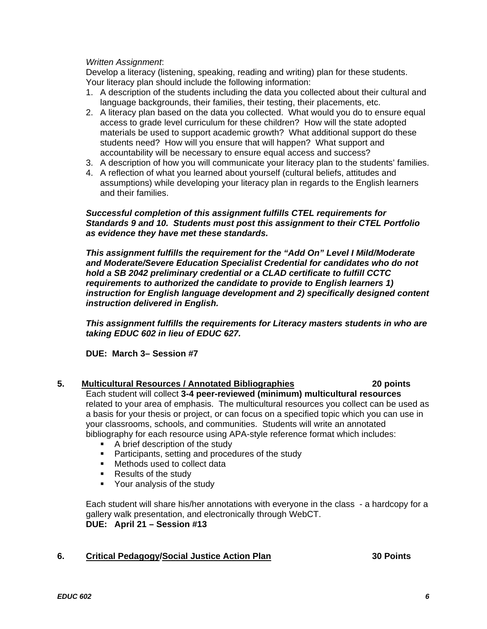#### *Written Assignment*:

Develop a literacy (listening, speaking, reading and writing) plan for these students. Your literacy plan should include the following information:

- 1. A description of the students including the data you collected about their cultural and language backgrounds, their families, their testing, their placements, etc.
- accountability will be necessary to ensure equal access and success? 2. A literacy plan based on the data you collected. What would you do to ensure equal access to grade level curriculum for these children? How will the state adopted materials be used to support academic growth? What additional support do these students need? How will you ensure that will happen? What support and
- 3. A description of how you will communicate your literacy plan to the students' families.
- 4. A reflection of what you learned about yourself (cultural beliefs, attitudes and assumptions) while developing your literacy plan in regards to the English learners and their families.

#### *Successful completion of this assignment fulfills CTEL requirements for Standards 9 and 10. Students must post this assignment to their CTEL Portfolio as evidence they have met these standards.*

*This assignment fulfills the requirement for the "Add On" Level I Mild/Moderate and Moderate/Severe Education Specialist Credential for candidates who do not hold a SB 2042 preliminary credential or a CLAD certificate to fulfill CCTC requirements to authorized the candidate to provide to English learners 1) instruction for English language development and 2) specifically designed content instruction delivered in English.* 

*This assignment fulfills the requirements for Literacy masters students in who are taking EDUC 602 in lieu of EDUC 627.* 

**DUE: March 3– Session #7** 

## **5. Multicultural Resources / Annotated Bibliographies 20 points**

Each student will collect **3-4 peer-reviewed (minimum) multicultural resources**  related to your area of emphasis. The multicultural resources you collect can be used as a basis for your thesis or project, or can focus on a specified topic which you can use in your classrooms, schools, and communities. Students will write an annotated bibliography for each resource using APA-style reference format which includes:

- A brief description of the study
- **Participants, setting and procedures of the study**
- **Nethods used to collect data**
- **Results of the study**
- **•** Your analysis of the study

Each student will share his/her annotations with everyone in the class - a hardcopy for a gallery walk presentation, and electronically through WebCT. **DUE: April 21 – Session #13** 

#### 6. Critical Pedagogy/Social Justice Action Plan **1988** 20 Points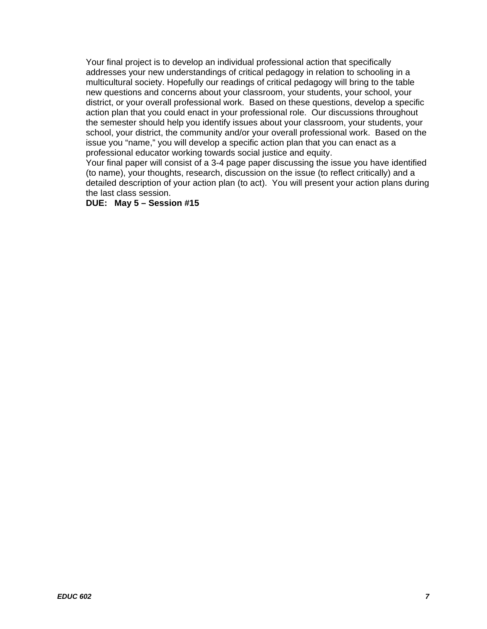Your final project is to develop an individual professional action that specifically addresses your new understandings of critical pedagogy in relation to schooling in a multicultural society. Hopefully our readings of critical pedagogy will bring to the table new questions and concerns about your classroom, your students, your school, your district, or your overall professional work. Based on these questions, develop a specific action plan that you could enact in your professional role. Our discussions throughout the semester should help you identify issues about your classroom, your students, your school, your district, the community and/or your overall professional work. Based on the issue you "name," you will develop a specific action plan that you can enact as a professional educator working towards social justice and equity.

Your final paper will consist of a 3-4 page paper discussing the issue you have identified (to name), your thoughts, research, discussion on the issue (to reflect critically) and a detailed description of your action plan (to act). You will present your action plans during the last class session.

#### **DUE: May 5 – Session #15**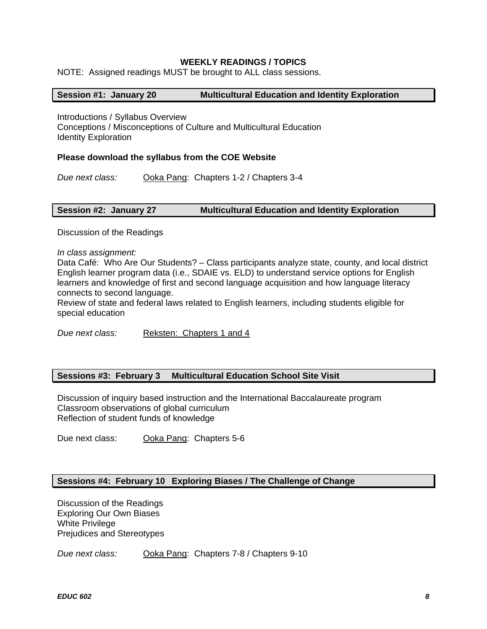#### **WEEKLY READINGS / TOPICS**

NOTE: Assigned readings MUST be brought to ALL class sessions.

#### **Session #1: January 20 Multicultural Education and Identity Exploration**

Introductions / Syllabus Overview Conceptions / Misconceptions of Culture and Multicultural Education Identity Exploration

#### **Please download the syllabus from the COE Website**

*Due next class:* Ooka Pang: Chapters 1-2 / Chapters 3-4

#### **Session #2: January 27 Multicultural Education and Identity Exploration**

Discussion of the Readings

*In class assignment:* 

Data Café: Who Are Our Students? – Class participants analyze state, county, and local district English learner program data (i.e., SDAIE vs. ELD) to understand service options for English learners and knowledge of first and second language acquisition and how language literacy connects to second language.

Review of state and federal laws related to English learners, including students eligible for special education

*Due next class:* Reksten: Chapters 1 and 4

#### **Sessions #3: February 3 Multicultural Education School Site Visit**

Discussion of inquiry based instruction and the International Baccalaureate program Classroom observations of global curriculum Reflection of student funds of knowledge

Due next class: Ooka Pang: Chapters 5-6

#### **Sessions #4: February 10 Exploring Biases / The Challenge of Change**

Discussion of the Readings Exploring Our Own Biases White Privilege Prejudices and Stereotypes

*Due next class:* Ooka Pang: Chapters 7-8 / Chapters 9-10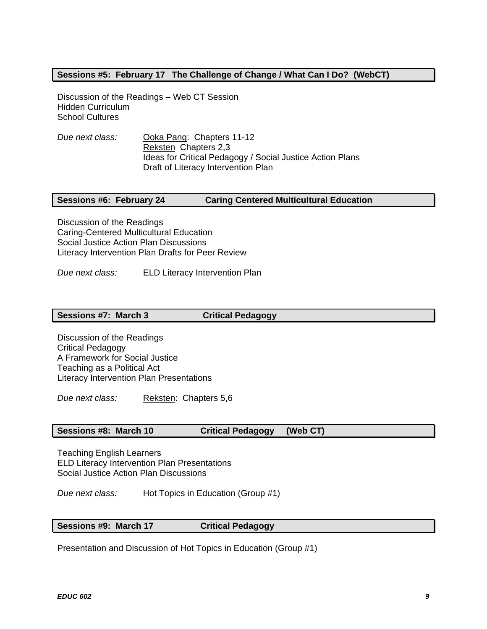## **Sessions #5: February 17 The Challenge of Change / What Can I Do? (WebCT)**

Discussion of the Readings – Web CT Session Hidden Curriculum School Cultures

*Due next class:* Ooka Pang: Chapters 11-12 Reksten Chapters 2,3 Ideas for Critical Pedagogy / Social Justice Action Plans Draft of Literacy Intervention Plan

#### **Sessions #6: February 24 Caring Centered Multicultural Education**

Discussion of the Readings Caring-Centered Multicultural Education Social Justice Action Plan Discussions Literacy Intervention Plan Drafts for Peer Review

*Due next class:* ELD Literacy Intervention Plan

#### **Sessions #7: March 3 Critical Pedagogy**

Discussion of the Readings Critical Pedagogy A Framework for Social Justice Teaching as a Political Act Literacy Intervention Plan Presentations

*Due next class:* Reksten: Chapters 5,6

#### **Sessions #8: March 10 Critical Pedagogy (Web CT)**

Teaching English Learners ELD Literacy Intervention Plan Presentations Social Justice Action Plan Discussions

*Due next class:* Hot Topics in Education (Group #1)

#### **Sessions #9: March 17 Critical Pedagogy**

Presentation and Discussion of Hot Topics in Education (Group #1)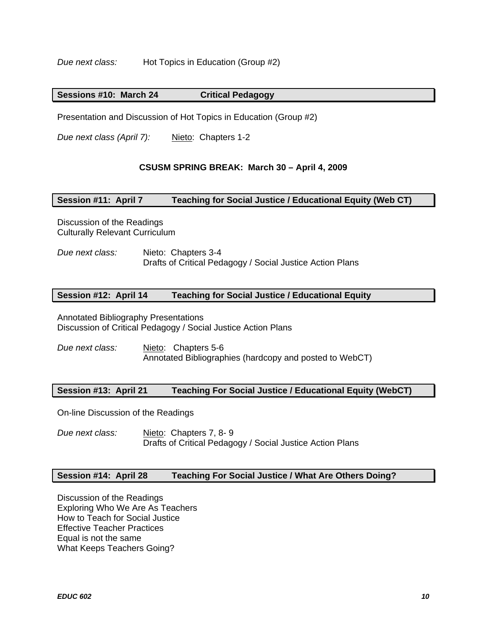*Due next class:* Hot Topics in Education (Group #2)

#### **Critical Pedagogy Sessions #10: March 24**

Presentation and Discussion of Hot Topics in Education (Group #2)

*Due next class (April 7):* Nieto: Chapters 1-2

#### **CSUSM SPRING BREAK: March 30 – April 4, 2009**

#### **Session #11: April 7 Teaching for Social Justice / Educational Equity (Web CT)**

Discussion of the Readings Culturally Relevant Curriculum

*Due next class:* Nieto: Chapters 3-4 Drafts of Critical Pedagogy / Social Justice Action Plans

#### **Session #12: April 14 Teaching for Social Justice / Educational Equity**

Annotated Bibliography Presentations Discussion of Critical Pedagogy / Social Justice Action Plans

*Due next class:* Nieto: Chapters 5-6 Annotated Bibliographies (hardcopy and posted to WebCT)

#### **Session #13: April 21 Teaching For Social Justice / Educational Equity (WebCT)**

On-line Discussion of the Readings

*Due next class:* Nieto: Chapters 7, 8- 9 Drafts of Critical Pedagogy / Social Justice Action Plans

#### **Session #14: April 28 Teaching For Social Justice / What Are Others Doing?**

Discussion of the Readings Exploring Who We Are As Teachers How to Teach for Social Justice Effective Teacher Practices Equal is not the same What Keeps Teachers Going?